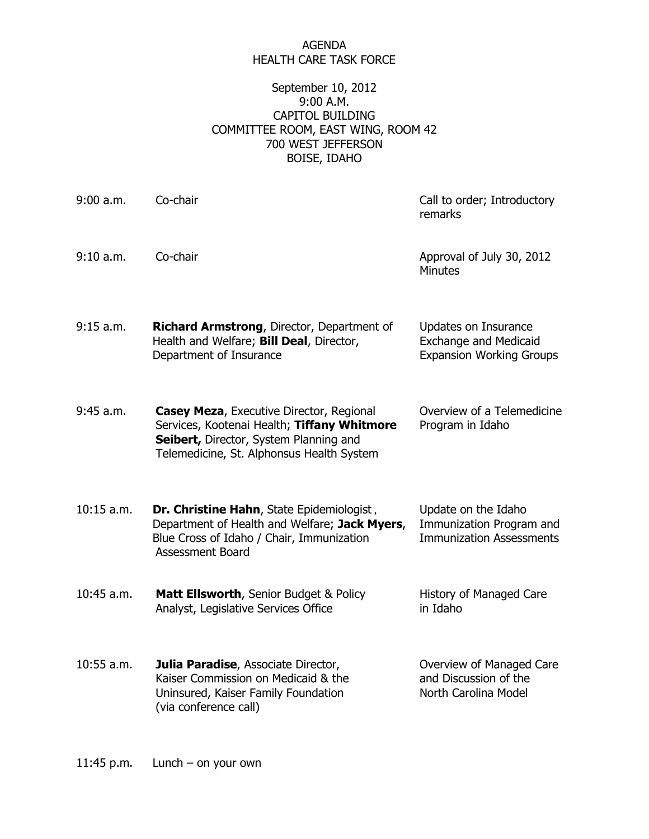## AGENDA HEALTH CARE TASK FORCE

## September 10, 2012 9:00 A.M. CAPITOL BUILDING COMMITTEE ROOM, EAST WING, ROOM 42 700 WEST JEFFERSON BOISE, IDAHO

| $9:00$ a.m.  | Co-chair                                                                                                                                                                              | Call to order; Introductory<br>remarks                                                  |
|--------------|---------------------------------------------------------------------------------------------------------------------------------------------------------------------------------------|-----------------------------------------------------------------------------------------|
| 9:10 a.m.    | Co-chair                                                                                                                                                                              | Approval of July 30, 2012<br><b>Minutes</b>                                             |
| 9:15 a.m.    | <b>Richard Armstrong, Director, Department of</b><br>Health and Welfare; Bill Deal, Director,<br>Department of Insurance                                                              | Updates on Insurance<br><b>Exchange and Medicaid</b><br><b>Expansion Working Groups</b> |
| 9:45 a.m.    | <b>Casey Meza, Executive Director, Regional</b><br>Services, Kootenai Health; Tiffany Whitmore<br>Seibert, Director, System Planning and<br>Telemedicine, St. Alphonsus Health System | Overview of a Telemedicine<br>Program in Idaho                                          |
| $10:15$ a.m. | Dr. Christine Hahn, State Epidemiologist,<br>Department of Health and Welfare; Jack Myers,<br>Blue Cross of Idaho / Chair, Immunization<br><b>Assessment Board</b>                    | Update on the Idaho<br>Immunization Program and<br><b>Immunization Assessments</b>      |
| $10:45$ a.m. | Matt Ellsworth, Senior Budget & Policy<br>Analyst, Legislative Services Office                                                                                                        | History of Managed Care<br>in Idaho                                                     |
| $10:55$ a.m. | Julia Paradise, Associate Director,<br>Kaiser Commission on Medicaid & the<br>Uninsured, Kaiser Family Foundation<br>(via conference call)                                            | Overview of Managed Care<br>and Discussion of the<br>North Carolina Model               |